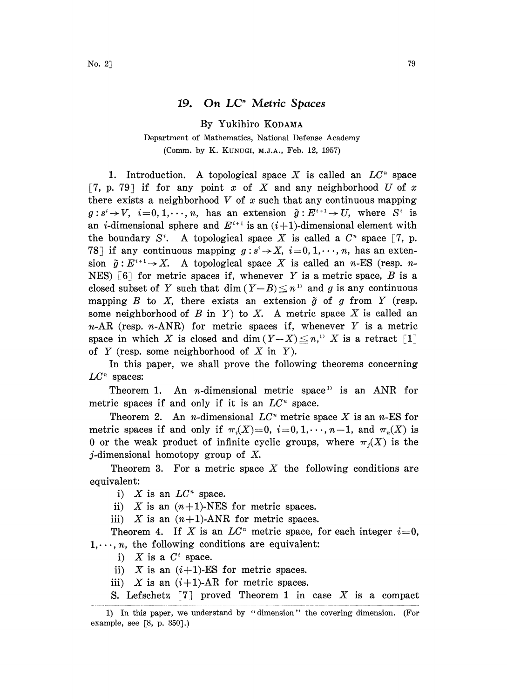## 19. On  $LC<sup>n</sup>$  Metric Spaces

By Yukihiro KODAMA

Department of Mathematics, National Defense Academy (Comm. by K. KUNUGI, M.J.A., Feb. 12, 1957)

1. Introduction. A topological space X is called an  $LC<sup>n</sup>$  space [7, p. 79] if for any point x of X and any neighborhood U of x there exists a neighborhood  $V$  of  $x$  such that any continuous mapping  $g: s^i \to V$ ,  $i=0, 1, \dots, n$ , has an extension  $\tilde{g}: E^{i+1} \to U$ , where  $S^i$  is an *i*-dimensional sphere and  $E^{i+1}$  is an  $(i+1)$ -dimensional element with  $g: s^i \to V$ ,  $i=0,1,\dots,n$ , has an extension  $\tilde{g}: E^{i+1} \to U$ , where  $S^i$  is the boundary  $S^i$ . A topological space X is called a  $C^n$  space [7, p. 78] if any continuous mapping  $g: s^i \to X$ ,  $i=0, 1, \dots, n$ , has an extension  $g: E^{n+1} \to X$ . A topological space X is called an *n*-ES (resp. *n*-NES) [6] for metric spaces if, whenever Y is a metric space, B is a sion  $\tilde{g}: E^{i+1} \to X$ . A topological space X is called an n-ES (resp. nclosed subset of Y such that dim  $(Y-B) \leq n$ <sup>13</sup> and g is any continuous mapping  $B$  to  $X$ , there exists an extension  $\tilde{g}$  of  $g$  from  $Y$  (resp. some neighborhood of B in Y) to X. A metric space X is called an  $n-AR$  (resp.  $n-ARNR$ ) for metric spaces if, whenever Y is a metric space in which X is closed and dim  $(Y-X) \leq n$ , X is a retract [1] of  $Y$  (resp. some neighborhood of  $X$  in  $Y$ ).

In this paper, we shall prove the following theorems concerning  $LC<sup>n</sup>$  spaces:

Theorem 1. An *n*-dimensional metric space<sup>1</sup> is an ANR for metric spaces if and only if it is an  $LC<sup>n</sup>$  space.

Theorem 2. An *n*-dimensional  $LC<sup>n</sup>$  metric space X is an *n*-ES for metric spaces if and only if  $\pi_i(X)=0$ ,  $i=0, 1, \dots, n-1$ , and  $\pi_i(X)$  is 0 or the weak product of infinite cyclic groups, where  $\pi_i(X)$  is the *j*-dimensional homotopy group of  $X$ .

Theorem 3. For a metric space  $X$  the following conditions are equivalent:

i) X is an  $LC<sup>n</sup>$  space.

ii) X is an  $(n+1)$ -NES for metric spaces.

iii) X is an  $(n+1)$ -ANR for metric spaces.

Theorem 4. If X is an  $LC<sup>n</sup>$  metric space, for each integer  $i=0$ ,  $1, \dots, n$ , the following conditions are equivalent:

i)  $X$  is a  $C^i$  space.

ii) X is an  $(i+1)$ -ES for metric spaces.

iii) X is an  $(i+1)$ -AR for metric spaces.

S. Lefschetz  $\lceil 7 \rceil$  proved Theorem 1 in case X is a compact

<sup>1)</sup> In this paper, we understand by "dimension" the covering dimension. (For example, see [8, p. 350].)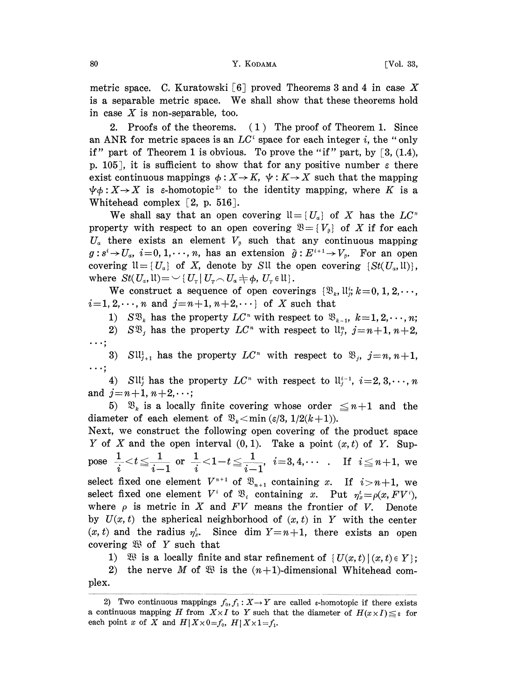metric space. C. Kuratowski [6] proved Theorems 3 and 4 in case X is <sup>a</sup> separable metric space. We shall show that these theorems hold in case  $X$  is non-separable, too.

2. Proofs of the theorems. (1) The proof of Theorem 1. Since an ANR for metric spaces is an  $LC<sup>i</sup>$  space for each integer i, the "only if" part of Theorem 1 is obvious. To prove the "if" part, by  $\lceil 3, (1.4),$ p. 105], it is sufficient to show that for any positive number  $\varepsilon$  there exist continuous mappings  $\phi: X \rightarrow K$ ,  $\psi: K \rightarrow X$  such that the mapping :  $X \rightarrow X$  is  $\varepsilon$ -homotopic<sup>2</sup> to the identity mapping, where K is a Whitehead complex  $[2, p. 516]$ .

We shall say that an open covering  $\mathfrak{U} = \{U_a\}$  of X has the  $LC^n$ property with respect to an open covering  $\mathfrak{B} = \{V_{\beta}\}\$  of X if for each  $U_a$  there exists an element  $V_\beta$  such that any continuous mapping  $g: s^i \to U_a$ ,  $i=0, 1, \dots, n$ , has an extension  $\tilde{g}: E^{i+1} \to V_\beta$ . For an open<br>covering  $\mathfrak{U} = \{U_a\}$  of X, denote by SU the open covering  $\{St(U_a, \mathfrak{U})\}$ ,<br>where  $St(U_a, \mathfrak{U}) = \{U_\tau | U_\tau \cap U_a \neq \phi, U_\tau \in \mathfrak{U}\}\$ .<br>We cons  $g: s^i \to U_\alpha$ ,  $i=0,1,\dots,n$ , has an extension  $\tilde{g}: E^{i+1} \to V_\beta$ . For an open where  $St(U_a, \mathfrak{U}) = \bigcup \{U_r | U_r \cap U_a \neq \emptyset, U_r \in \mathfrak{U} \}.$ <br>We construct a sequence of open coverings  $\{\mathfrak{B}_k, \mathfrak{U}_i^k, k=0, 1, 2, \cdots, \emptyset\}$ 

 $i=1, 2, \dots, n$  and  $j=n+1, n+2, \dots$  of X such that

1)  $S\mathfrak{B}_k$  has the property  $LC^*$  with respect to  $\mathfrak{B}_{k-1}$ ,  $k=1, 2, \dots, n;$ 

2)  $S\mathfrak{B}_i$  has the property  $LC^n$  with respect to  $\mathfrak{u}_i^n$ ,  $j=n+1, n+2$ ,  $\cdots;$ 

3)  $SU_{j+1}^1$  has the property  $LC^n$  with respect to  $\mathfrak{B}_j$ ,  $j=n,n+1$ ,  $\cdots$  :

4) SU<sub>i</sub> has the property  $LC<sup>n</sup>$  with respect to  $U<sub>i-1</sub><sup>i-1</sup>, i=2, 3, \dots, n$ and  $j = n+1, n+2, \dots;$ 

5)  $\mathfrak{B}_k$  is a locally finite covering whose order  $\leq n+1$  and the diameter of each element of  $\mathfrak{B}_k$  < min ( $\varepsilon/3$ ,  $1/2(k+1)$ ).

Next, we construct the following open covering of the product space Y of X and the open interval  $(0, 1)$ . Take a point  $(x, t)$  of Y. Sup- $\text{pose } \begin{array}{l} \frac{1}{i} < t \leqq \frac{1}{i-1} \text{ or } \frac{1}{i} < 1-t \leqq \frac{1}{i-1}, \hspace{0.2cm} i\!=\!3,4,\cdots \hspace{0.2cm} . \hspace{0.2cm} \text{ If } \hspace{0.2cm} i \leqq n+1, \text{ we} \end{array}$ select fixed one element  $V^{n+1}$  of  $\mathfrak{B}_{n+1}$  containing x. If  $i>n+1$ , we select fixed one element  $V^i$  of  $\mathfrak{B}_i$  containing x. Put  $\eta_x^t = \rho(x, F V^i)$ , where  $\rho$  is metric in X and  $FV$  means the frontier of V. Denote by  $U(x, t)$  the spherical neighborhood of  $(x, t)$  in Y with the center  $(x, t)$  and the radius  $\eta_x^t$ . Since dim  $Y=n+1$ , there exists an open covering  $X \cup Y$  such that

1)  $\mathfrak{B}$  is a locally finite and star refinement of  $\{U(x,t) | (x,t) \in Y\}$ ;

2) the nerve M of  $\mathfrak{B}$  is the  $(n+1)$ -dimensional Whitehead complex.

<sup>2)</sup> Two continuous mappings  $f_0, f_1: X \to Y$  are called  $\epsilon$ -homotopic if there exists a continuous mapping H from  $X \times I$  to Y such that the diameter of  $H(x \times I) \leq \varepsilon$  for each point x of X and  $H \mid X \times 0 = f_0$ ,  $H \mid X \times 1 = f_1$ .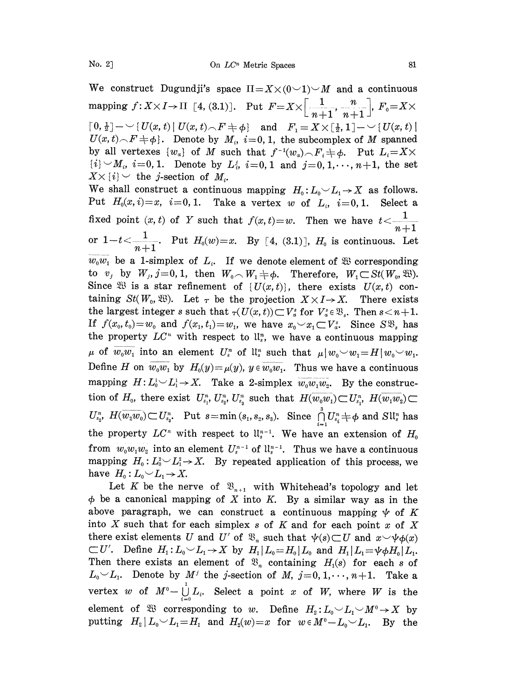$\lceil 0, \frac{1}{2} \rceil$   $\sim$   $\lceil U(x, t) \rceil$   $U(x, t) \wedge F$   $\neq$   $\phi$  and  $F_1 = X \times [\frac{1}{2}, 1]$   $\sim$   $\sim$   $\lceil U(x, t) \rceil$  $U(x,t) \setminus F \neq \phi$ . Denote by  $M_i$ ,  $i=0, 1$ , the subcomplex of M spanned by all vertexes  $\{w_{\alpha}\}\$  of M such that  $f^{-1}(w_{\alpha}) \setminus F_{\alpha} \neq \emptyset$ . Put  $L_i = X \times$  $[i] \sim M_i$ ,  $i=0,1$ . Denote by  $L_i^i$ ,  $i=0,1$  and  $j=0,1,\dots,n+1$ , the set  $X \times \{i\} \sim$  the j-section of  $M_i$ .  $X \times \{i\} \setminus$  the *j*-section of  $M_i$ .<br>We shall construct a continuous mapping  $H_0: L_0 \setminus L_1 \to X$  as follows.

Put  $H_0(x,i)=x$ ,  $i=0,1$ . Take a vertex w of  $L_i$ ,  $i=0,1$ . Select a fixed point  $(x, t)$  of Y such that  $f(x, t)=w$ . Then we have  $\begin{array}{ccc} n+1 & n+1 \\ n+1 & n+1 \end{array}$ or  $1-t < \frac{1}{n+1}$ . Put  $H_0(w)=x$ . By [4, (3.1)],  $H_0$  is continuous. Let  $\overline{w_0w_1}$  be a 1-simplex of  $L_i$ . If we denote element of  $\mathfrak{B}$  corresponding to  $v_j$  by  $W_j$ ,  $j=0, 1$ , then  $W_0 \cap W_1 \neq \emptyset$ . Therefore,  $W_1 \subset St(W_0, \mathfrak{B})$ . Since  $\mathfrak{B}$  is a star refinement of  $\{U(x,t)\}\)$ , there exists  $U(x,t)$  containing  $St(W_0, \mathfrak{B})$ . Let  $\tau$  be the projection  $X \times I \rightarrow X$ . There exists the largest integer s such that  $\tau(U(x,t)) \subset V_a^s$  for  $V_a^s \in \mathfrak{B}_s$ . Then  $s < n+1$ . If  $f(x_0, t_0)=w_0$  and  $f(x_1, t_1)=w_1$ , we have  $x_0 \sim x_1 \subset V_a^s$ . Since  $S\mathfrak{B}_s$  has the property  $LC<sup>n</sup>$  with respect to  $\mathfrak{u}_s^n$ , we have a continuous mapping  $\mu$  of  $w_0w_1$  into an element  $U_s^n$  of  $\mathfrak{u}_s^n$  such that  $\mu \mid w_0 \sim w_1 = H(w_0 \sim w_1$ . Define H on  $\overline{w_0w_1}$  by  $H_0(y) = \mu(y)$ ,  $y \in \overline{w_0w_1}$ . Thus we have a continuous mapping  $H: L_0^1 \rightarrow X$ . Take a 2-simplex  $\overline{w_0w_1w_2}$ . By the construction of  $H_0$ , there exist  $U_{s_1}^n, U_{s_2}^n, U_{s_3}^n$  such that  $H(\overline{w_0w_1}) \subset U_{s_1}^n, H(\overline{w_1w_2}) \subset$  $U_{s_2}^n$ ,  $H(\overline{w_2w_0})\mathop{\subset}\nolimits U_{s_3}^n$ . Put  $s = \min{(s_1,s_2,s_3)}$ . Since  $\bigcap_{i=1}^n U_{s_i}^n \neq \phi$  and  $Sl_s^n$  has the property  $LC^n$  with respect to  $\mathfrak{u}_s^{n-1}$ . We have an extension of  $H_0$ from  $w_0w_1w_2$  into an element  $U^{n-1}$  of  $\mathfrak{u}_s^{n-1}$ . Thus we have a continuous from  $w_0w_1w_2$  into an element  $U_s^{n-1}$  of  $\mathfrak{ll}_s^{n-1}$ . Thus we have a continuous mapping  $H_0: L_0^2 {\smile} L_1^2 {\rightarrow} X$ . By repeated application of this process, we have  $H_0: L_0 \sim L_1 \rightarrow X$ .

Let K be the nerve of  $\mathfrak{B}_{n+1}$  with Whitehead's topology and let  $\phi$  be a canonical mapping of X into K. By a similar way as in the above paragraph, we can construct a continuous mapping  $\psi$  of K into  $X$  such that for each simplex  $s$  of  $K$  and for each point  $x$  of  $X$ there exist elements U and U' of  $\mathfrak{B}_n$  such that  $\psi(s) \subset U$  and  $x \sim \psi(\phi(x))$  $\subset U'$ . Define  $H_1: L_0 \sim L_1 \rightarrow X$  by  $H_1 \mid L_0 = H_0 \mid L_0$  and  $H_1 \mid L_1 = \psi \phi H_0 \mid L_1$ . Then there exists an element of  $\mathfrak{B}_n$  containing  $H_1(s)$  for each s of  $L_0 \smile L_1$ . Denote by  $M^j$  the j-section of M,  $j=0, 1, \dots, n+1$ . Take a vertex w of  $M^0-\bigcup_{i=0}^1L_i$ . Select a point x of W, where W is the element of  $\mathfrak{B}$  corresponding to w. Define  $H_2: L_0 \sim L_1 \sim M^0 \rightarrow X$  by been example of the M<sub>2</sub>:  $L_0 - L_1 - M_2 \to X$  by<br>putting  $H_2 | L_0 - L_1 = H_1$  and  $H_2(w) = x$  for  $w \in M^0 - L_0 - L_1$ . By the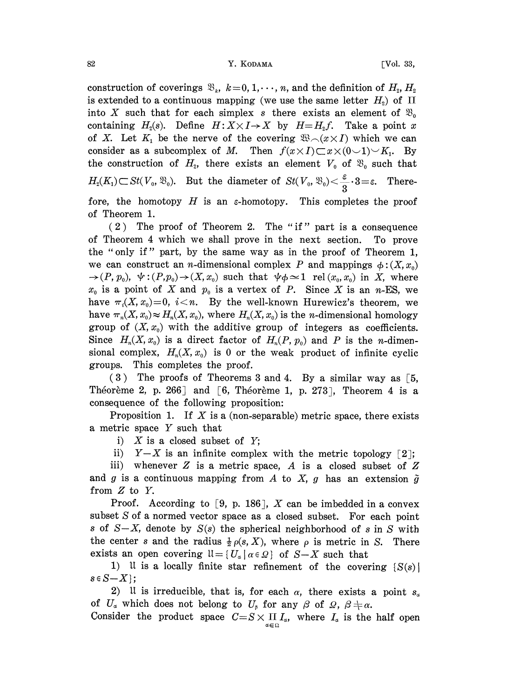## 82 Y. KODAMA [Vol. 33,

construction of coverings  $\mathfrak{B}_k$ ,  $k=0, 1, \dots, n$ , and the definition of  $H_2, H_2$ is extended to a continuous mapping (we use the same letter  $H_2$ ) of  $\Pi$ into X such that for each simplex s there exists an element of  $\mathfrak{B}_0$ containing  $H_2(s)$ . Define  $H: X \times I \rightarrow X$  by  $H=H_2f$ . Take a point x of X. Let  $K_1$  be the nerve of the covering  $\mathfrak{B}_{\bigcirc}(x \times I)$  which we can consider as a subcomplex of M. Then  $f(x \times I) \subset x \times (0 \cup 1) \cup K_1$ . By the construction of  $H_2$ , there exists an element  $V_0$  of  $\mathfrak{B}_0$  such that  $H_2(K_1) \subset St(V_0, \mathfrak{B}_0)$ . But the diameter of  $St(V_0, \mathfrak{B}_0) < \frac{\varepsilon}{3} \cdot 3 = \varepsilon$ . Therefore, the homotopy  $H$  is an  $\varepsilon$ -homotopy. This completes the proof of Theorem 1.

(2) The proof of Theorem 2. The "if" part is a consequence of Theorem 4 which we shall prove in the next section. To prove the "only if" part, by the same way as in the proof of Theorem 1, we can construct an *n*-dimensional complex P and mappings  $\phi$ :  $(X, x_0)$  $\rightarrow (P, p_0), \ \psi: (P, p_0) \rightarrow (X, x_0)$  such that  $\psi \phi \simeq 1$  rel  $(x_0, x_0)$  in X, where  $x_0$  is a point of X and  $p_0$  is a vertex of P. Since X is an n-ES, we have  $\pi_i(X, x_0)=0$ ,  $i \lt n$ . By the well-known Hurewicz's theorem, we have  $\pi_n(X, x_0) \approx H_n(X, x_0)$ , where  $H_n(X, x_0)$  is the *n*-dimensional homology group of  $(X, x_0)$  with the additive group of integers as coefficients. Since  $H_n(X, x_0)$  is a direct factor of  $H_n(P, p_0)$  and P is the n-dimensional complex,  $H_n(X, x_0)$  is 0 or the weak product of infinite cyclic groups. This completes the proof.

(3) The proofs of Theorems 3 and 4. By a similar way as [5, Theoreme 2, p. 266] and [6, Theorem 1, p. 273], Theorem 4 is a consequence of the following proposition:

Proposition 1. If X is a (non-separable) metric space, there exists <sup>a</sup> metric space Y such that

i)  $X$  is a closed subset of  $Y$ ;

ii)  $Y-X$  is an infinite complex with the metric topology [2];

iii) whenever  $Z$  is a metric space,  $A$  is a closed subset of  $Z$ and g is a continuous mapping from A to X, g has an extension  $\tilde{g}$ from Z to Y.

Proof. According to [9, p. 186],  $X$  can be imbedded in a convex subset S of a normed vector space as a closed subset. For each point s of  $S-X$ , denote by  $S(s)$  the spherical neighborhood of s in S with the center s and the radius  $\frac{1}{2} \rho(s, X)$ , where  $\rho$  is metric in S. There exists an open covering  $ll = \{U_{\alpha} | \alpha \in \Omega\}$  of  $S-X$  such that

1) It is a locally finite star refinement of the covering  $S(s)$  $s \in S \setminus X$ ;

2) It is irreducible, that is, for each  $\alpha$ , there exists a point  $s_{\alpha}$ of  $U_{\alpha}$  which does not belong to  $U_{\beta}$  for any  $\beta$  of  $\Omega$ ,  $\beta \neq \alpha$ .

Consider the product space  $C=S\times \prod_{\alpha\in\Omega}I_{\alpha}$ , where  $I_{\alpha}$  is the half open